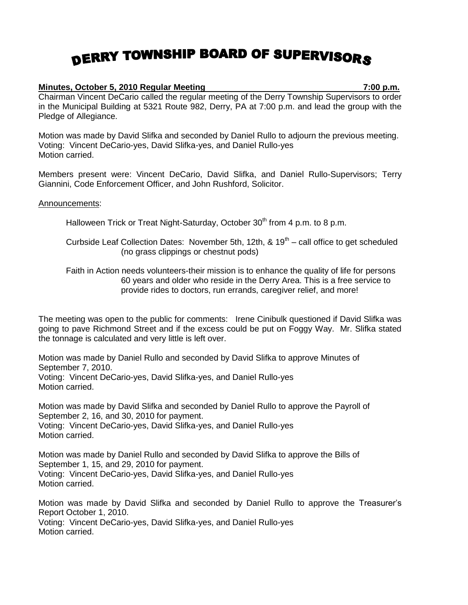## DERRY TOWNSHIP BOARD OF SUPERVISORS

## **Minutes, October 5, 2010 Regular Meeting 7:00 p.m.**

Chairman Vincent DeCario called the regular meeting of the Derry Township Supervisors to order in the Municipal Building at 5321 Route 982, Derry, PA at 7:00 p.m. and lead the group with the Pledge of Allegiance.

Motion was made by David Slifka and seconded by Daniel Rullo to adjourn the previous meeting. Voting: Vincent DeCario-yes, David Slifka-yes, and Daniel Rullo-yes Motion carried.

Members present were: Vincent DeCario, David Slifka, and Daniel Rullo-Supervisors; Terry Giannini, Code Enforcement Officer, and John Rushford, Solicitor.

## Announcements:

Halloween Trick or Treat Night-Saturday, October 30<sup>th</sup> from 4 p.m. to 8 p.m.

- Curbside Leaf Collection Dates: November 5th, 12th,  $\&$  19<sup>th</sup> call office to get scheduled (no grass clippings or chestnut pods)
- Faith in Action needs volunteers-their mission is to enhance the quality of life for persons 60 years and older who reside in the Derry Area. This is a free service to provide rides to doctors, run errands, caregiver relief, and more!

The meeting was open to the public for comments: Irene Cinibulk questioned if David Slifka was going to pave Richmond Street and if the excess could be put on Foggy Way. Mr. Slifka stated the tonnage is calculated and very little is left over.

Motion was made by Daniel Rullo and seconded by David Slifka to approve Minutes of September 7, 2010. Voting: Vincent DeCario-yes, David Slifka-yes, and Daniel Rullo-yes Motion carried.

Motion was made by David Slifka and seconded by Daniel Rullo to approve the Payroll of September 2, 16, and 30, 2010 for payment. Voting: Vincent DeCario-yes, David Slifka-yes, and Daniel Rullo-yes Motion carried.

Motion was made by Daniel Rullo and seconded by David Slifka to approve the Bills of September 1, 15, and 29, 2010 for payment. Voting: Vincent DeCario-yes, David Slifka-yes, and Daniel Rullo-yes Motion carried.

Motion was made by David Slifka and seconded by Daniel Rullo to approve the Treasurer's Report October 1, 2010. Voting: Vincent DeCario-yes, David Slifka-yes, and Daniel Rullo-yes Motion carried.